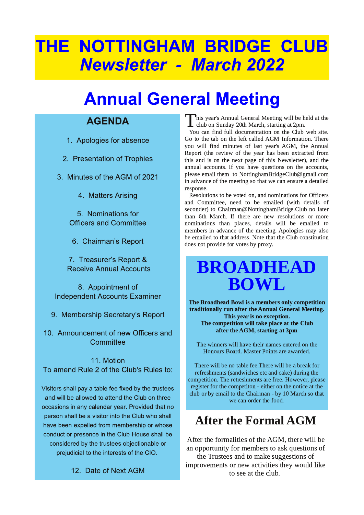# THE NOTTINGHAM BRIDGE CLUB **Newsletter - March 2022**

# **Annual General Meeting**

### **AGENDA**

1. Apologies for absence

- 2. Presentation of Trophies
- 3. Minutes of the AGM of 2021
	- 4. Matters Arising

5. Nominations for **Officers and Committee** 

6. Chairman's Report

7. Treasurer's Report & **Receive Annual Accounts** 

8. Appointment of **Independent Accounts Examiner** 

9. Membership Secretary's Report

10. Announcement of new Officers and Committee

11. Motion To amend Rule 2 of the Club's Rules to:

Visitors shall pay a table fee fixed by the trustees and will be allowed to attend the Club on three occasions in any calendar year. Provided that no person shall be a visitor into the Club who shall have been expelled from membership or whose conduct or presence in the Club House shall be considered by the trustees objectionable or prejudicial to the interests of the CIO.

12. Date of Next AGM

This year's Annual General Meeting will be held at the L <sup>III</sup> s year 3 Annual Seconds 20th March, starting at 2pm.

You can find full documentation on the Club web site. Go to the tab on the left called AGM Information. There you will find minutes of last year's AGM, the Annual Report (the review of the year has been extracted from this and is on the next page of this Newsletter), and the annual accounts. If you have questions on the accounts, please email them to NottinghamBridgeClub@gmail.com in advance of the meeting so that we can ensure a detailed response.

Resolutions to be voted on, and nominations for Officers and Committee, need to be emailed (with details of seconder) to Chairman@NottinghamBridge.Club no later than 6th March. If there are new resolutions or more nominations than places, details will be emailed to members in advance of the meeting. Apologies may also be emailed to that address. Note that the Club constitution does not provide for votes by proxy.

## **BROADHEAD BOWL**

The Broadhead Bowl is a members only competition traditionally run after the Annual General Meeting. This year is no exception. The competition will take place at the Club after the AGM, starting at 3pm

The winners will have their names entered on the Honours Board. Master Points are awarded.

There will be no table fee. There will be a break for refreshments (sandwiches etc and cake) during the competition. The retreshments are free. However, please register for the competiton - either on the notice at the club or by email to the Chairman - by 10 March so that we can order the food.

### **After the Formal AGM**

After the formalities of the AGM, there will be an opportunity for members to ask questions of the Trustees and to make suggestions of improvements or new activities they would like to see at the club.